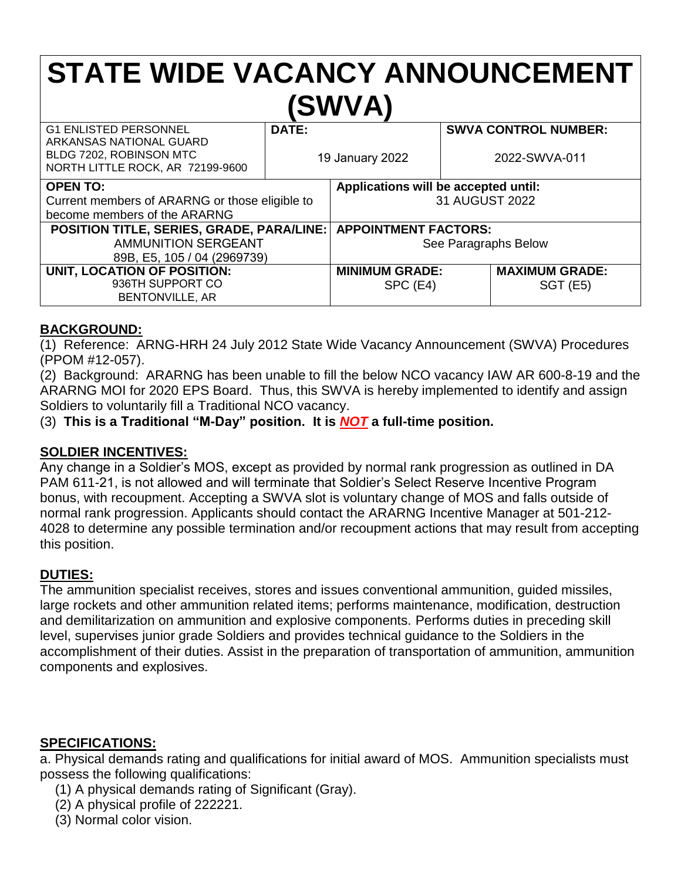# **STATE WIDE VACANCY ANNOUNCEMENT (SWVA)**

| <b>G1 ENLISTED PERSONNEL</b><br>ARKANSAS NATIONAL GUARD<br>BLDG 7202, ROBINSON MTC<br>NORTH LITTLE ROCK, AR 72199-9600 | DATE:<br>19 January 2022 |                                      | <b>SWVA CONTROL NUMBER:</b><br>2022-SWVA-011 |                       |
|------------------------------------------------------------------------------------------------------------------------|--------------------------|--------------------------------------|----------------------------------------------|-----------------------|
| <b>OPEN TO:</b>                                                                                                        |                          | Applications will be accepted until: |                                              |                       |
| Current members of ARARNG or those eligible to                                                                         |                          | 31 AUGUST 2022                       |                                              |                       |
| become members of the ARARNG                                                                                           |                          |                                      |                                              |                       |
| <b>POSITION TITLE, SERIES, GRADE, PARA/LINE: APPOINTMENT FACTORS:</b>                                                  |                          |                                      |                                              |                       |
| <b>AMMUNITION SERGEANT</b>                                                                                             |                          | See Paragraphs Below                 |                                              |                       |
| 89B, E5, 105 / 04 (2969739)                                                                                            |                          |                                      |                                              |                       |
| UNIT, LOCATION OF POSITION:                                                                                            |                          | <b>MINIMUM GRADE:</b>                |                                              | <b>MAXIMUM GRADE:</b> |
| 936TH SUPPORT CO                                                                                                       |                          | SPC (E4)                             |                                              | <b>SGT (E5)</b>       |
| <b>BENTONVILLE, AR</b>                                                                                                 |                          |                                      |                                              |                       |

#### **BACKGROUND:**

(1) Reference: ARNG-HRH 24 July 2012 State Wide Vacancy Announcement (SWVA) Procedures (PPOM #12-057).

(2) Background: ARARNG has been unable to fill the below NCO vacancy IAW AR 600-8-19 and the ARARNG MOI for 2020 EPS Board. Thus, this SWVA is hereby implemented to identify and assign Soldiers to voluntarily fill a Traditional NCO vacancy.

(3) **This is a Traditional "M-Day" position. It is** *NOT* **a full-time position.**

#### **SOLDIER INCENTIVES:**

Any change in a Soldier's MOS, except as provided by normal rank progression as outlined in DA PAM 611-21, is not allowed and will terminate that Soldier's Select Reserve Incentive Program bonus, with recoupment. Accepting a SWVA slot is voluntary change of MOS and falls outside of normal rank progression. Applicants should contact the ARARNG Incentive Manager at 501-212- 4028 to determine any possible termination and/or recoupment actions that may result from accepting this position.

## **DUTIES:**

The ammunition specialist receives, stores and issues conventional ammunition, guided missiles, large rockets and other ammunition related items; performs maintenance, modification, destruction and demilitarization on ammunition and explosive components. Performs duties in preceding skill level, supervises junior grade Soldiers and provides technical guidance to the Soldiers in the accomplishment of their duties. Assist in the preparation of transportation of ammunition, ammunition components and explosives.

#### **SPECIFICATIONS:**

a. Physical demands rating and qualifications for initial award of MOS. Ammunition specialists must possess the following qualifications:

- (1) A physical demands rating of Significant (Gray).
- (2) A physical profile of 222221.
- (3) Normal color vision.